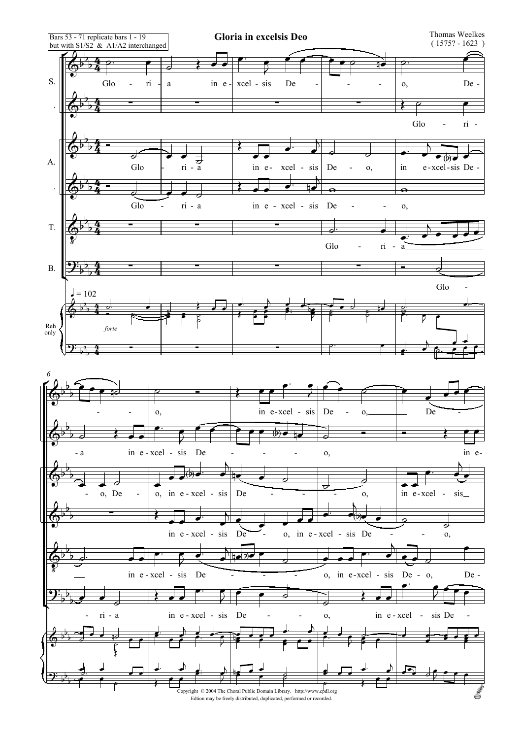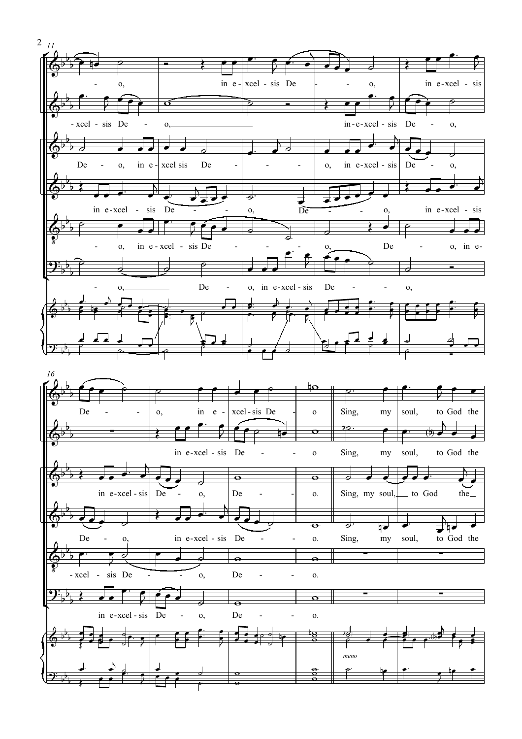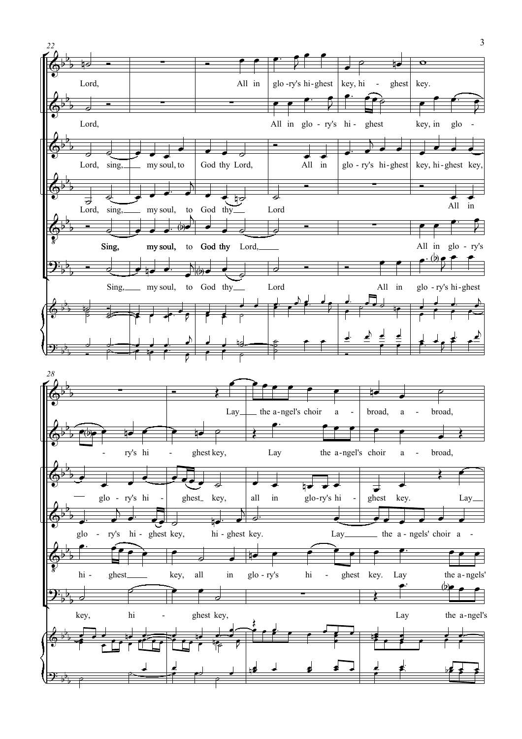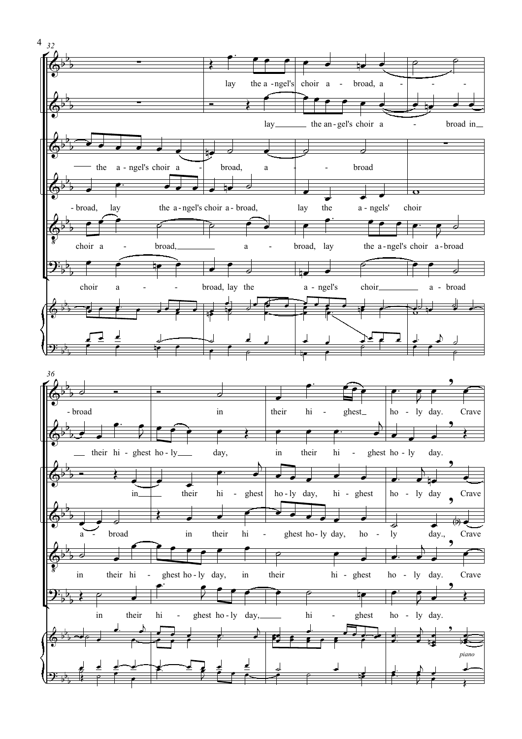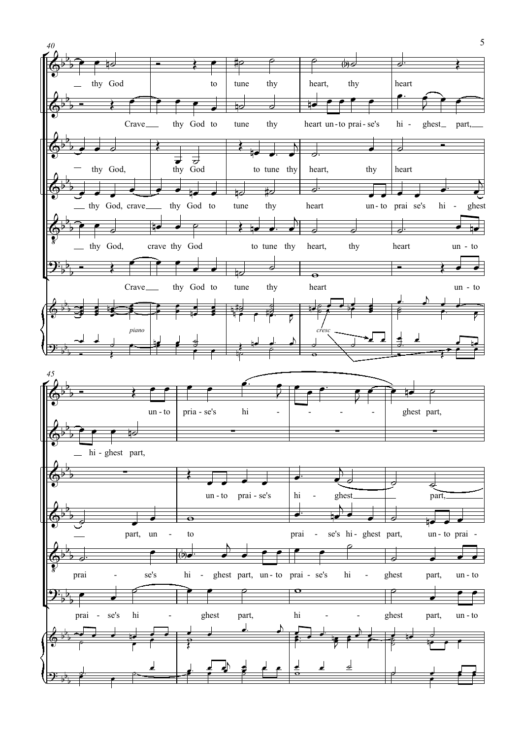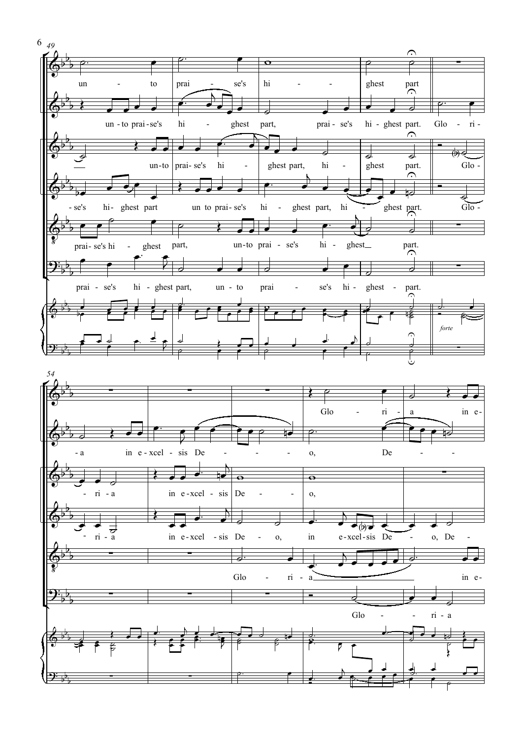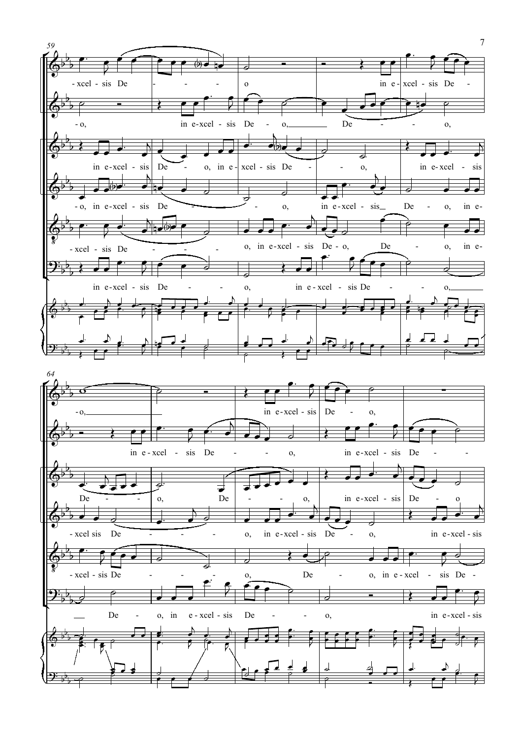